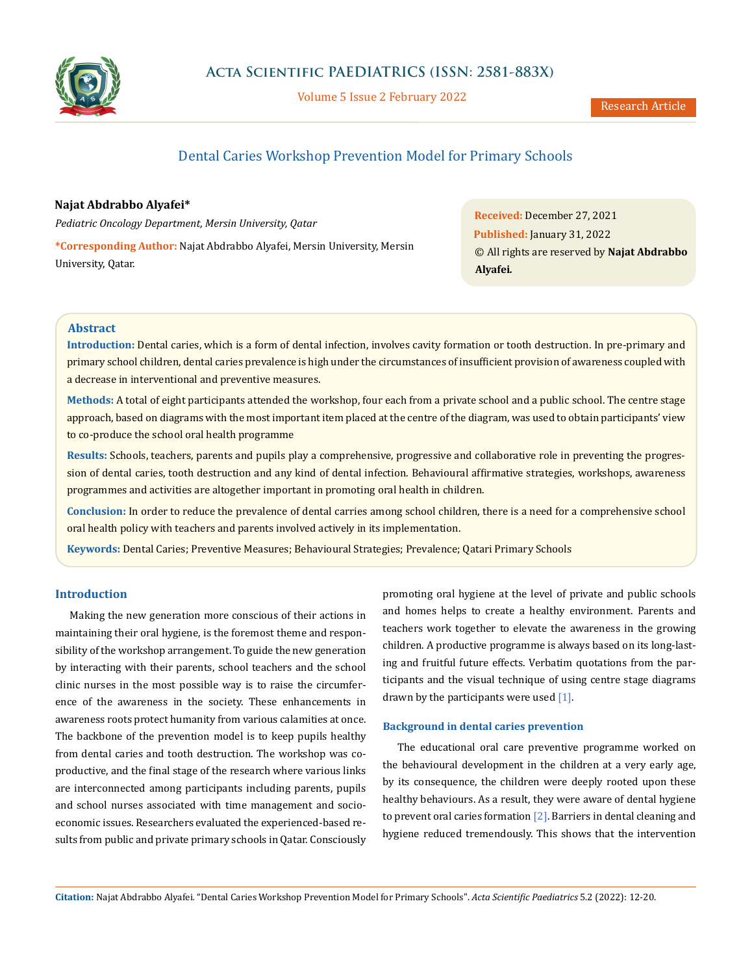

Volume 5 Issue 2 February 2022

# Dental Caries Workshop Prevention Model for Primary Schools

# **Najat Abdrabbo Alyafei\***

*Pediatric Oncology Department, Mersin University, Qatar*

**\*Corresponding Author:** Najat Abdrabbo Alyafei, Mersin University, Mersin University, Qatar.

**Received:** December 27, 2021 **Published:** January 31, 2022 © All rights are reserved by **Najat Abdrabbo Alyafei***.*

# **Abstract**

**Introduction:** Dental caries, which is a form of dental infection, involves cavity formation or tooth destruction. In pre-primary and primary school children, dental caries prevalence is high under the circumstances of insufficient provision of awareness coupled with a decrease in interventional and preventive measures.

**Methods:** A total of eight participants attended the workshop, four each from a private school and a public school. The centre stage approach, based on diagrams with the most important item placed at the centre of the diagram, was used to obtain participants' view to co-produce the school oral health programme

**Results:** Schools, teachers, parents and pupils play a comprehensive, progressive and collaborative role in preventing the progression of dental caries, tooth destruction and any kind of dental infection. Behavioural affirmative strategies, workshops, awareness programmes and activities are altogether important in promoting oral health in children.

**Conclusion:** In order to reduce the prevalence of dental carries among school children, there is a need for a comprehensive school oral health policy with teachers and parents involved actively in its implementation.

**Keywords:** Dental Caries; Preventive Measures; Behavioural Strategies; Prevalence; Qatari Primary Schools

## **Introduction**

Making the new generation more conscious of their actions in maintaining their oral hygiene, is the foremost theme and responsibility of the workshop arrangement. To guide the new generation by interacting with their parents, school teachers and the school clinic nurses in the most possible way is to raise the circumference of the awareness in the society. These enhancements in awareness roots protect humanity from various calamities at once. The backbone of the prevention model is to keep pupils healthy from dental caries and tooth destruction. The workshop was coproductive, and the final stage of the research where various links are interconnected among participants including parents, pupils and school nurses associated with time management and socioeconomic issues. Researchers evaluated the experienced-based results from public and private primary schools in Qatar. Consciously promoting oral hygiene at the level of private and public schools and homes helps to create a healthy environment. Parents and teachers work together to elevate the awareness in the growing children. A productive programme is always based on its long-lasting and fruitful future effects. Verbatim quotations from the participants and the visual technique of using centre stage diagrams drawn by the participants were used [1].

### **Background in dental caries prevention**

The educational oral care preventive programme worked on the behavioural development in the children at a very early age, by its consequence, the children were deeply rooted upon these healthy behaviours. As a result, they were aware of dental hygiene to prevent oral caries formation  $[2]$ . Barriers in dental cleaning and hygiene reduced tremendously. This shows that the intervention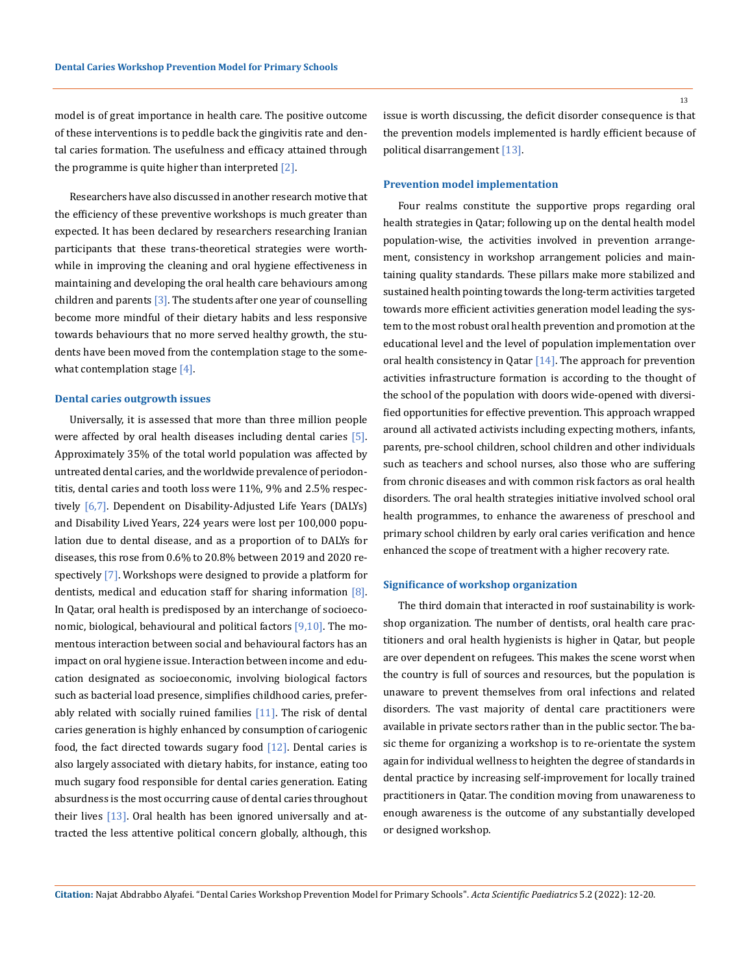model is of great importance in health care. The positive outcome of these interventions is to peddle back the gingivitis rate and dental caries formation. The usefulness and efficacy attained through the programme is quite higher than interpreted  $[2]$ .

Researchers have also discussed in another research motive that the efficiency of these preventive workshops is much greater than expected. It has been declared by researchers researching Iranian participants that these trans-theoretical strategies were worthwhile in improving the cleaning and oral hygiene effectiveness in maintaining and developing the oral health care behaviours among children and parents  $[3]$ . The students after one year of counselling become more mindful of their dietary habits and less responsive towards behaviours that no more served healthy growth, the students have been moved from the contemplation stage to the somewhat contemplation stage [4].

#### **Dental caries outgrowth issues**

Universally, it is assessed that more than three million people were affected by oral health diseases including dental caries  $[5]$ . Approximately 35% of the total world population was affected by untreated dental caries, and the worldwide prevalence of periodontitis, dental caries and tooth loss were 11%, 9% and 2.5% respectively [6,7]. Dependent on Disability-Adjusted Life Years (DALYs) and Disability Lived Years, 224 years were lost per 100,000 population due to dental disease, and as a proportion of to DALYs for diseases, this rose from 0.6% to 20.8% between 2019 and 2020 respectively [7]. Workshops were designed to provide a platform for dentists, medical and education staff for sharing information [8]. In Qatar, oral health is predisposed by an interchange of socioeconomic, biological, behavioural and political factors [9,10]. The momentous interaction between social and behavioural factors has an impact on oral hygiene issue. Interaction between income and education designated as socioeconomic, involving biological factors such as bacterial load presence, simplifies childhood caries, preferably related with socially ruined families  $[11]$ . The risk of dental caries generation is highly enhanced by consumption of cariogenic food, the fact directed towards sugary food  $[12]$ . Dental caries is also largely associated with dietary habits, for instance, eating too much sugary food responsible for dental caries generation. Eating absurdness is the most occurring cause of dental caries throughout their lives [13]. Oral health has been ignored universally and attracted the less attentive political concern globally, although, this issue is worth discussing, the deficit disorder consequence is that the prevention models implemented is hardly efficient because of political disarrangement [13].

#### **Prevention model implementation**

Four realms constitute the supportive props regarding oral health strategies in Qatar; following up on the dental health model population-wise, the activities involved in prevention arrangement, consistency in workshop arrangement policies and maintaining quality standards. These pillars make more stabilized and sustained health pointing towards the long-term activities targeted towards more efficient activities generation model leading the system to the most robust oral health prevention and promotion at the educational level and the level of population implementation over oral health consistency in Qatar [14]. The approach for prevention activities infrastructure formation is according to the thought of the school of the population with doors wide-opened with diversified opportunities for effective prevention. This approach wrapped around all activated activists including expecting mothers, infants, parents, pre-school children, school children and other individuals such as teachers and school nurses, also those who are suffering from chronic diseases and with common risk factors as oral health disorders. The oral health strategies initiative involved school oral health programmes, to enhance the awareness of preschool and primary school children by early oral caries verification and hence enhanced the scope of treatment with a higher recovery rate.

#### **Significance of workshop organization**

The third domain that interacted in roof sustainability is workshop organization. The number of dentists, oral health care practitioners and oral health hygienists is higher in Qatar, but people are over dependent on refugees. This makes the scene worst when the country is full of sources and resources, but the population is unaware to prevent themselves from oral infections and related disorders. The vast majority of dental care practitioners were available in private sectors rather than in the public sector. The basic theme for organizing a workshop is to re-orientate the system again for individual wellness to heighten the degree of standards in dental practice by increasing self-improvement for locally trained practitioners in Qatar. The condition moving from unawareness to enough awareness is the outcome of any substantially developed or designed workshop.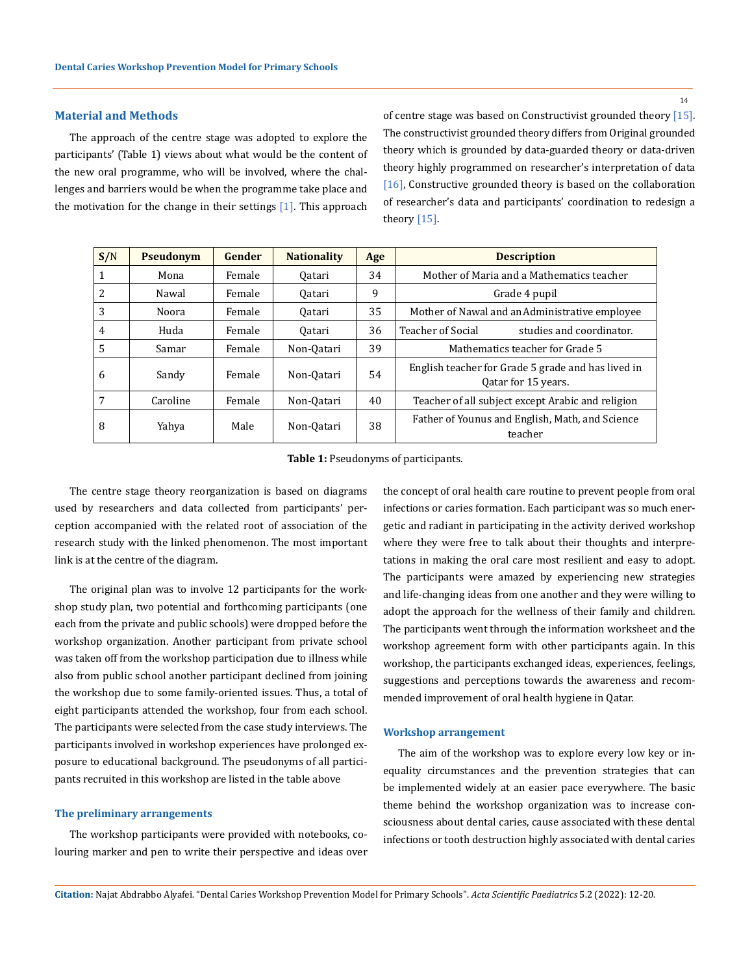# **Material and Methods**

The approach of the centre stage was adopted to explore the participants' (Table 1) views about what would be the content of the new oral programme, who will be involved, where the challenges and barriers would be when the programme take place and the motivation for the change in their settings  $[1]$ . This approach of centre stage was based on Constructivist grounded theory [15]. The constructivist grounded theory differs from Original grounded theory which is grounded by data-guarded theory or data-driven theory highly programmed on researcher's interpretation of data [16], Constructive grounded theory is based on the collaboration of researcher's data and participants' coordination to redesign a theory [15].

| S/N            | <b>Pseudonym</b> | Gender | <b>Nationality</b> | Age | <b>Description</b>                                                        |
|----------------|------------------|--------|--------------------|-----|---------------------------------------------------------------------------|
| 1              | Mona             | Female | 0atari             | 34  | Mother of Maria and a Mathematics teacher                                 |
| 2              | Nawal            | Female | 0atari             | 9   | Grade 4 pupil                                                             |
| 3              | Noora            | Female | 0atari             | 35  | Mother of Nawal and an Administrative employee                            |
| $\overline{4}$ | Huda             | Female | 0atari             | 36  | <b>Teacher of Social</b><br>studies and coordinator.                      |
| $\overline{5}$ | Samar            | Female | Non-Qatari         | 39  | Mathematics teacher for Grade 5                                           |
| 6              | Sandy            | Female | Non-Qatari         | 54  | English teacher for Grade 5 grade and has lived in<br>Oatar for 15 years. |
| 7              | Caroline         | Female | Non-Oatari         | 40  | Teacher of all subject except Arabic and religion                         |
| 8              | Yahya            | Male   | Non-Qatari         | 38  | Father of Younus and English, Math, and Science<br>teacher                |

**Table 1:** Pseudonyms of participants.

The centre stage theory reorganization is based on diagrams used by researchers and data collected from participants' perception accompanied with the related root of association of the research study with the linked phenomenon. The most important link is at the centre of the diagram.

The original plan was to involve 12 participants for the workshop study plan, two potential and forthcoming participants (one each from the private and public schools) were dropped before the workshop organization. Another participant from private school was taken off from the workshop participation due to illness while also from public school another participant declined from joining the workshop due to some family-oriented issues. Thus, a total of eight participants attended the workshop, four from each school. The participants were selected from the case study interviews. The participants involved in workshop experiences have prolonged exposure to educational background. The pseudonyms of all participants recruited in this workshop are listed in the table above

# **The preliminary arrangements**

The workshop participants were provided with notebooks, colouring marker and pen to write their perspective and ideas over the concept of oral health care routine to prevent people from oral infections or caries formation. Each participant was so much energetic and radiant in participating in the activity derived workshop where they were free to talk about their thoughts and interpretations in making the oral care most resilient and easy to adopt. The participants were amazed by experiencing new strategies and life-changing ideas from one another and they were willing to adopt the approach for the wellness of their family and children. The participants went through the information worksheet and the workshop agreement form with other participants again. In this workshop, the participants exchanged ideas, experiences, feelings, suggestions and perceptions towards the awareness and recommended improvement of oral health hygiene in Qatar.

#### **Workshop arrangement**

The aim of the workshop was to explore every low key or inequality circumstances and the prevention strategies that can be implemented widely at an easier pace everywhere. The basic theme behind the workshop organization was to increase consciousness about dental caries, cause associated with these dental infections or tooth destruction highly associated with dental caries

14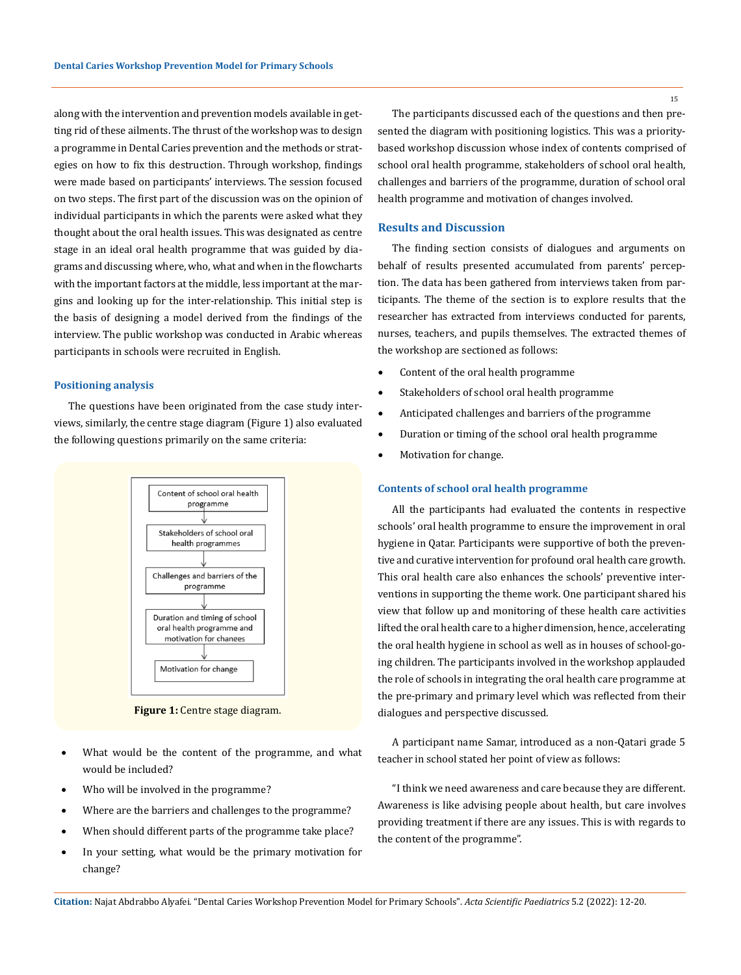along with the intervention and prevention models available in getting rid of these ailments. The thrust of the workshop was to design a programme in Dental Caries prevention and the methods or strategies on how to fix this destruction. Through workshop, findings were made based on participants' interviews. The session focused on two steps. The first part of the discussion was on the opinion of individual participants in which the parents were asked what they thought about the oral health issues. This was designated as centre stage in an ideal oral health programme that was guided by diagrams and discussing where, who, what and when in the flowcharts with the important factors at the middle, less important at the margins and looking up for the inter-relationship. This initial step is the basis of designing a model derived from the findings of the interview. The public workshop was conducted in Arabic whereas participants in schools were recruited in English.

# **Positioning analysis**

The questions have been originated from the case study interviews, similarly, the centre stage diagram (Figure 1) also evaluated the following questions primarily on the same criteria:



**Figure 1:** Centre stage diagram.

- What would be the content of the programme, and what would be included?
- Who will be involved in the programme?
- Where are the barriers and challenges to the programme?
- When should different parts of the programme take place?
- In your setting, what would be the primary motivation for change?

15

The participants discussed each of the questions and then presented the diagram with positioning logistics. This was a prioritybased workshop discussion whose index of contents comprised of school oral health programme, stakeholders of school oral health, challenges and barriers of the programme, duration of school oral health programme and motivation of changes involved.

# **Results and Discussion**

The finding section consists of dialogues and arguments on behalf of results presented accumulated from parents' perception. The data has been gathered from interviews taken from participants. The theme of the section is to explore results that the researcher has extracted from interviews conducted for parents, nurses, teachers, and pupils themselves. The extracted themes of the workshop are sectioned as follows:

- • Content of the oral health programme
- Stakeholders of school oral health programme
- Anticipated challenges and barriers of the programme
- • Duration or timing of the school oral health programme
- Motivation for change.

### **Contents of school oral health programme**

All the participants had evaluated the contents in respective schools' oral health programme to ensure the improvement in oral hygiene in Qatar. Participants were supportive of both the preventive and curative intervention for profound oral health care growth. This oral health care also enhances the schools' preventive interventions in supporting the theme work. One participant shared his view that follow up and monitoring of these health care activities lifted the oral health care to a higher dimension, hence, accelerating the oral health hygiene in school as well as in houses of school-going children. The participants involved in the workshop applauded the role of schools in integrating the oral health care programme at the pre-primary and primary level which was reflected from their dialogues and perspective discussed.

A participant name Samar, introduced as a non-Qatari grade 5 teacher in school stated her point of view as follows:

"I think we need awareness and care because they are different. Awareness is like advising people about health, but care involves providing treatment if there are any issues. This is with regards to the content of the programme".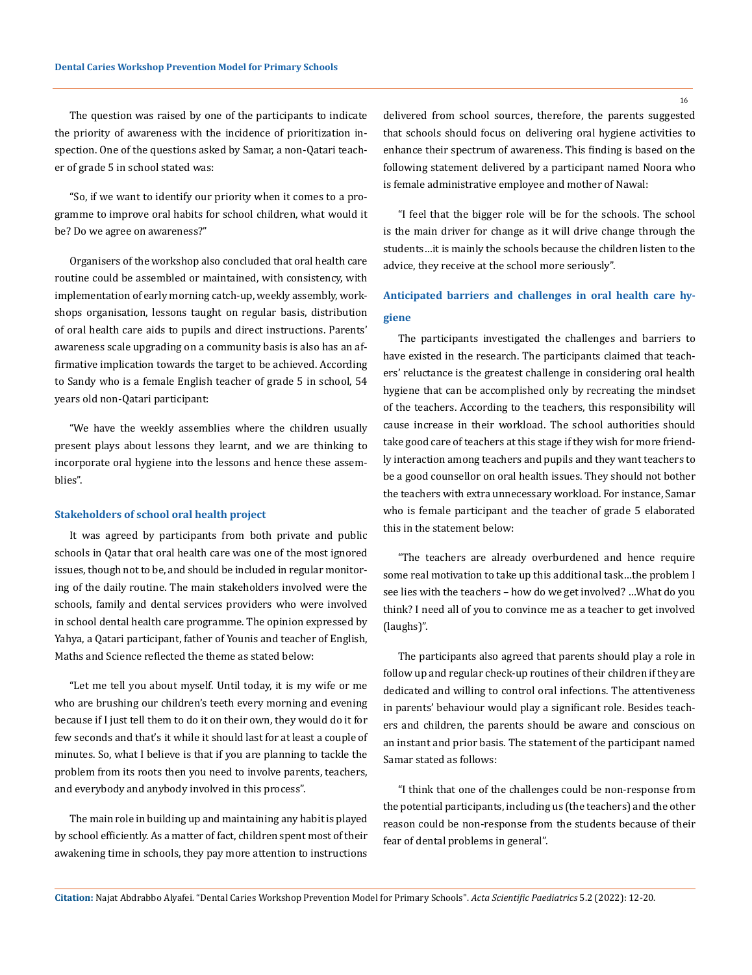The question was raised by one of the participants to indicate the priority of awareness with the incidence of prioritization inspection. One of the questions asked by Samar, a non-Qatari teacher of grade 5 in school stated was:

"So, if we want to identify our priority when it comes to a programme to improve oral habits for school children, what would it be? Do we agree on awareness?"

Organisers of the workshop also concluded that oral health care routine could be assembled or maintained, with consistency, with implementation of early morning catch-up, weekly assembly, workshops organisation, lessons taught on regular basis, distribution of oral health care aids to pupils and direct instructions. Parents' awareness scale upgrading on a community basis is also has an affirmative implication towards the target to be achieved. According to Sandy who is a female English teacher of grade 5 in school, 54 years old non-Qatari participant:

"We have the weekly assemblies where the children usually present plays about lessons they learnt, and we are thinking to incorporate oral hygiene into the lessons and hence these assemblies".

#### **Stakeholders of school oral health project**

It was agreed by participants from both private and public schools in Qatar that oral health care was one of the most ignored issues, though not to be, and should be included in regular monitoring of the daily routine. The main stakeholders involved were the schools, family and dental services providers who were involved in school dental health care programme. The opinion expressed by Yahya, a Qatari participant, father of Younis and teacher of English, Maths and Science reflected the theme as stated below:

"Let me tell you about myself. Until today, it is my wife or me who are brushing our children's teeth every morning and evening because if I just tell them to do it on their own, they would do it for few seconds and that's it while it should last for at least a couple of minutes. So, what I believe is that if you are planning to tackle the problem from its roots then you need to involve parents, teachers, and everybody and anybody involved in this process".

The main role in building up and maintaining any habit is played by school efficiently. As a matter of fact, children spent most of their awakening time in schools, they pay more attention to instructions delivered from school sources, therefore, the parents suggested that schools should focus on delivering oral hygiene activities to enhance their spectrum of awareness. This finding is based on the following statement delivered by a participant named Noora who is female administrative employee and mother of Nawal:

"I feel that the bigger role will be for the schools. The school is the main driver for change as it will drive change through the students…it is mainly the schools because the children listen to the advice, they receive at the school more seriously".

# **Anticipated barriers and challenges in oral health care hygiene**

The participants investigated the challenges and barriers to have existed in the research. The participants claimed that teachers' reluctance is the greatest challenge in considering oral health hygiene that can be accomplished only by recreating the mindset of the teachers. According to the teachers, this responsibility will cause increase in their workload. The school authorities should take good care of teachers at this stage if they wish for more friendly interaction among teachers and pupils and they want teachers to be a good counsellor on oral health issues. They should not bother the teachers with extra unnecessary workload. For instance, Samar who is female participant and the teacher of grade 5 elaborated this in the statement below:

"The teachers are already overburdened and hence require some real motivation to take up this additional task…the problem I see lies with the teachers – how do we get involved? …What do you think? I need all of you to convince me as a teacher to get involved (laughs)".

The participants also agreed that parents should play a role in follow up and regular check-up routines of their children if they are dedicated and willing to control oral infections. The attentiveness in parents' behaviour would play a significant role. Besides teachers and children, the parents should be aware and conscious on an instant and prior basis. The statement of the participant named Samar stated as follows:

"I think that one of the challenges could be non-response from the potential participants, including us (the teachers) and the other reason could be non-response from the students because of their fear of dental problems in general".

16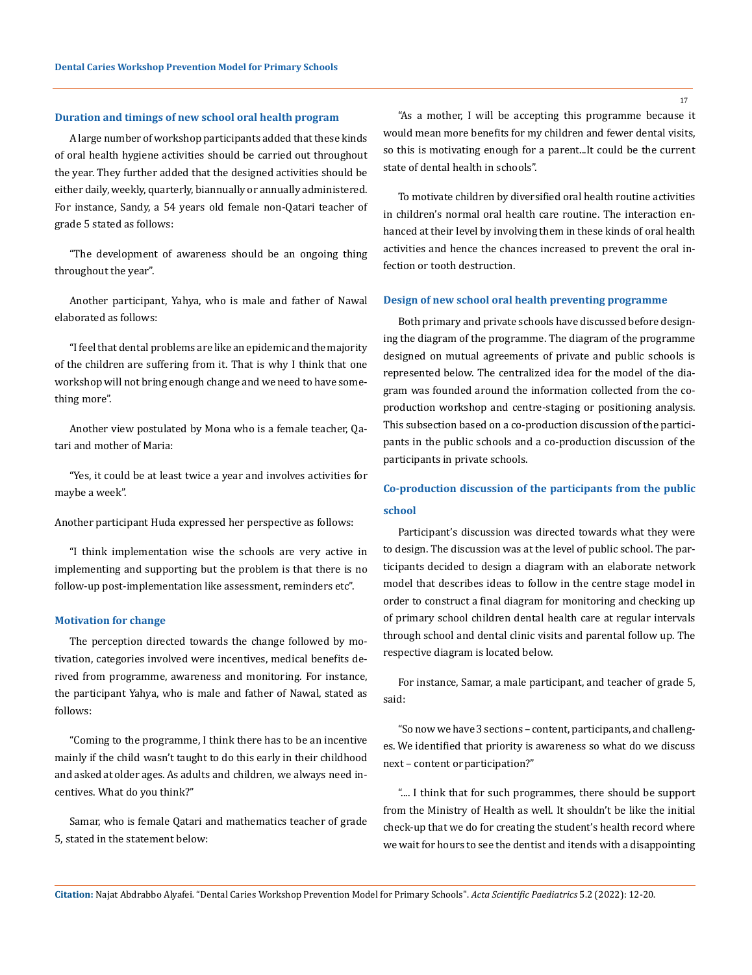#### **Duration and timings of new school oral health program**

A large number of workshop participants added that these kinds of oral health hygiene activities should be carried out throughout the year. They further added that the designed activities should be either daily, weekly, quarterly, biannually or annually administered. For instance, Sandy, a 54 years old female non-Qatari teacher of grade 5 stated as follows:

"The development of awareness should be an ongoing thing throughout the year".

Another participant, Yahya, who is male and father of Nawal elaborated as follows:

"I feel that dental problems are like an epidemic and the majority of the children are suffering from it. That is why I think that one workshop will not bring enough change and we need to have something more".

Another view postulated by Mona who is a female teacher, Qatari and mother of Maria:

"Yes, it could be at least twice a year and involves activities for maybe a week".

Another participant Huda expressed her perspective as follows:

"I think implementation wise the schools are very active in implementing and supporting but the problem is that there is no follow-up post-implementation like assessment, reminders etc".

#### **Motivation for change**

The perception directed towards the change followed by motivation, categories involved were incentives, medical benefits derived from programme, awareness and monitoring. For instance, the participant Yahya, who is male and father of Nawal, stated as follows:

"Coming to the programme, I think there has to be an incentive mainly if the child wasn't taught to do this early in their childhood and asked at older ages. As adults and children, we always need incentives. What do you think?"

Samar, who is female Qatari and mathematics teacher of grade 5, stated in the statement below:

"As a mother, I will be accepting this programme because it would mean more benefits for my children and fewer dental visits, so this is motivating enough for a parent...It could be the current state of dental health in schools".

To motivate children by diversified oral health routine activities in children's normal oral health care routine. The interaction enhanced at their level by involving them in these kinds of oral health activities and hence the chances increased to prevent the oral infection or tooth destruction.

#### **Design of new school oral health preventing programme**

Both primary and private schools have discussed before designing the diagram of the programme. The diagram of the programme designed on mutual agreements of private and public schools is represented below. The centralized idea for the model of the diagram was founded around the information collected from the coproduction workshop and centre-staging or positioning analysis. This subsection based on a co-production discussion of the participants in the public schools and a co-production discussion of the participants in private schools.

# **Co-production discussion of the participants from the public school**

Participant's discussion was directed towards what they were to design. The discussion was at the level of public school. The participants decided to design a diagram with an elaborate network model that describes ideas to follow in the centre stage model in order to construct a final diagram for monitoring and checking up of primary school children dental health care at regular intervals through school and dental clinic visits and parental follow up. The respective diagram is located below.

For instance, Samar, a male participant, and teacher of grade 5, said:

"So now we have 3 sections – content, participants, and challenges. We identified that priority is awareness so what do we discuss next – content or participation?"

".... I think that for such programmes, there should be support from the Ministry of Health as well. It shouldn't be like the initial check-up that we do for creating the student's health record where we wait for hours to see the dentist and itends with a disappointing

**Citation:** Najat Abdrabbo Alyafei*.* "Dental Caries Workshop Prevention Model for Primary Schools". *Acta Scientific Paediatrics* 5.2 (2022): 12-20.

17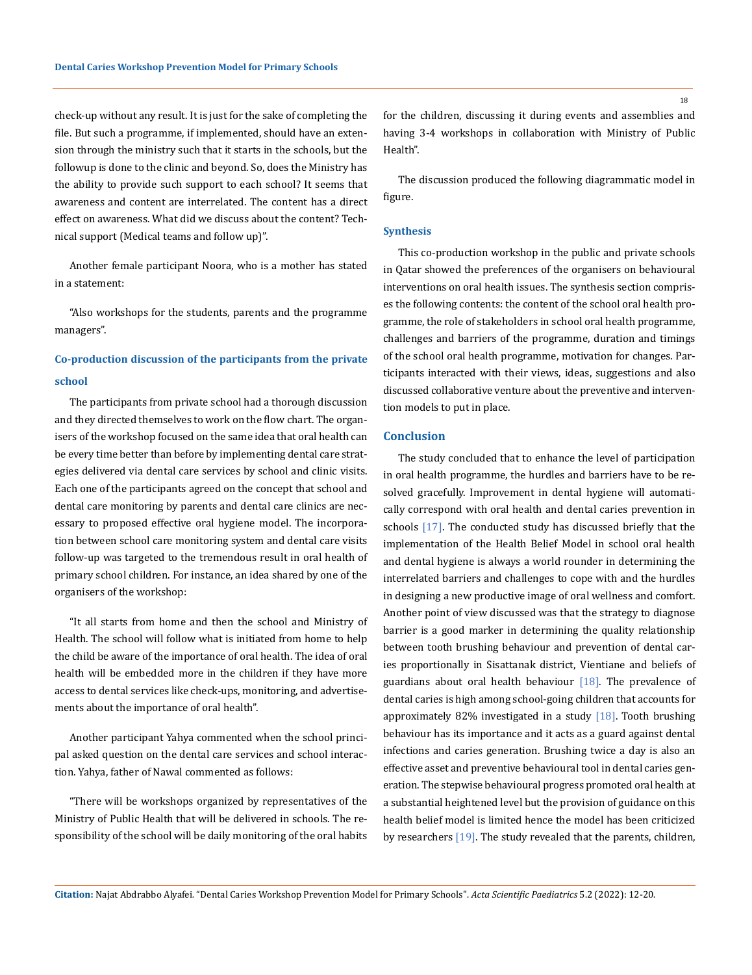check-up without any result. It is just for the sake of completing the file. But such a programme, if implemented, should have an extension through the ministry such that it starts in the schools, but the followup is done to the clinic and beyond. So, does the Ministry has the ability to provide such support to each school? It seems that awareness and content are interrelated. The content has a direct effect on awareness. What did we discuss about the content? Technical support (Medical teams and follow up)".

Another female participant Noora, who is a mother has stated in a statement:

"Also workshops for the students, parents and the programme managers".

# **Co-production discussion of the participants from the private school**

The participants from private school had a thorough discussion and they directed themselves to work on the flow chart. The organisers of the workshop focused on the same idea that oral health can be every time better than before by implementing dental care strategies delivered via dental care services by school and clinic visits. Each one of the participants agreed on the concept that school and dental care monitoring by parents and dental care clinics are necessary to proposed effective oral hygiene model. The incorporation between school care monitoring system and dental care visits follow-up was targeted to the tremendous result in oral health of primary school children. For instance, an idea shared by one of the organisers of the workshop:

"It all starts from home and then the school and Ministry of Health. The school will follow what is initiated from home to help the child be aware of the importance of oral health. The idea of oral health will be embedded more in the children if they have more access to dental services like check-ups, monitoring, and advertisements about the importance of oral health".

Another participant Yahya commented when the school principal asked question on the dental care services and school interaction. Yahya, father of Nawal commented as follows:

"There will be workshops organized by representatives of the Ministry of Public Health that will be delivered in schools. The responsibility of the school will be daily monitoring of the oral habits for the children, discussing it during events and assemblies and having 3-4 workshops in collaboration with Ministry of Public Health".

The discussion produced the following diagrammatic model in figure.

#### **Synthesis**

This co-production workshop in the public and private schools in Qatar showed the preferences of the organisers on behavioural interventions on oral health issues. The synthesis section comprises the following contents: the content of the school oral health programme, the role of stakeholders in school oral health programme, challenges and barriers of the programme, duration and timings of the school oral health programme, motivation for changes. Participants interacted with their views, ideas, suggestions and also discussed collaborative venture about the preventive and intervention models to put in place.

# **Conclusion**

The study concluded that to enhance the level of participation in oral health programme, the hurdles and barriers have to be resolved gracefully. Improvement in dental hygiene will automatically correspond with oral health and dental caries prevention in schools [17]. The conducted study has discussed briefly that the implementation of the Health Belief Model in school oral health and dental hygiene is always a world rounder in determining the interrelated barriers and challenges to cope with and the hurdles in designing a new productive image of oral wellness and comfort. Another point of view discussed was that the strategy to diagnose barrier is a good marker in determining the quality relationship between tooth brushing behaviour and prevention of dental caries proportionally in Sisattanak district, Vientiane and beliefs of guardians about oral health behaviour  $[18]$ . The prevalence of dental caries is high among school-going children that accounts for approximately 82% investigated in a study  $[18]$ . Tooth brushing behaviour has its importance and it acts as a guard against dental infections and caries generation. Brushing twice a day is also an effective asset and preventive behavioural tool in dental caries generation. The stepwise behavioural progress promoted oral health at a substantial heightened level but the provision of guidance on this health belief model is limited hence the model has been criticized by researchers [19]. The study revealed that the parents, children,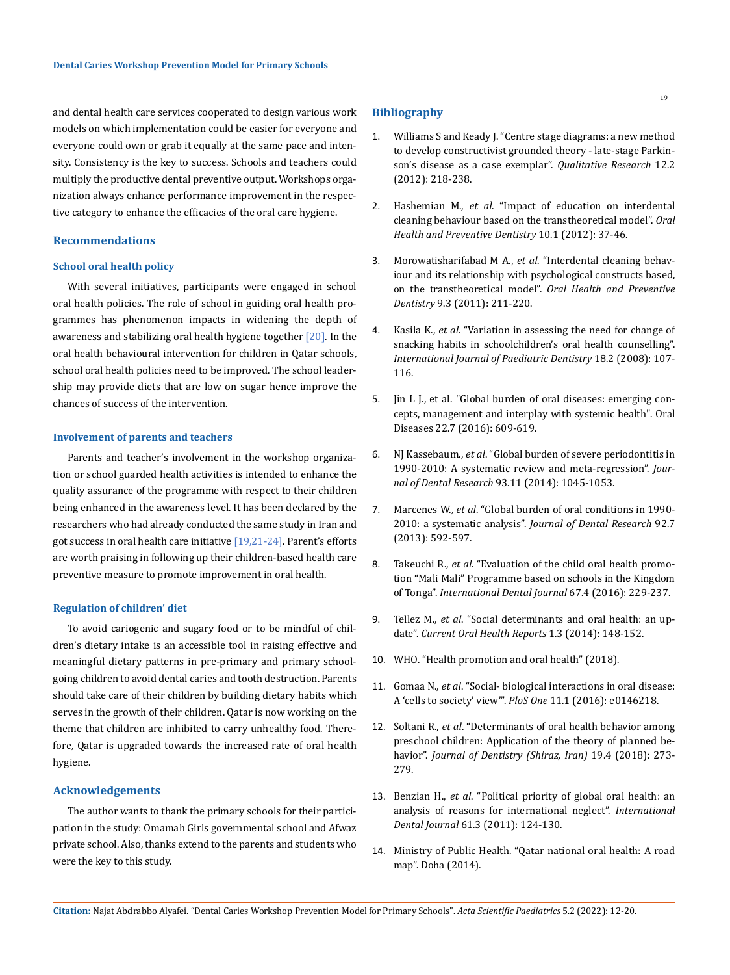and dental health care services cooperated to design various work **Bibliography** models on which implementation could be easier for everyone and everyone could own or grab it equally at the same pace and intensity. Consistency is the key to success. Schools and teachers could multiply the productive dental preventive output. Workshops organization always enhance performance improvement in the respective category to enhance the efficacies of the oral care hygiene.

# **Recommendations**

# **School oral health policy**

With several initiatives, participants were engaged in school oral health policies. The role of school in guiding oral health programmes has phenomenon impacts in widening the depth of awareness and stabilizing oral health hygiene together [20]. In the oral health behavioural intervention for children in Qatar schools, school oral health policies need to be improved. The school leadership may provide diets that are low on sugar hence improve the chances of success of the intervention.

## **Involvement of parents and teachers**

Parents and teacher's involvement in the workshop organization or school guarded health activities is intended to enhance the quality assurance of the programme with respect to their children being enhanced in the awareness level. It has been declared by the researchers who had already conducted the same study in Iran and got success in oral health care initiative [19,21-24]. Parent's efforts are worth praising in following up their children-based health care preventive measure to promote improvement in oral health.

#### **Regulation of children' diet**

To avoid cariogenic and sugary food or to be mindful of children's dietary intake is an accessible tool in raising effective and meaningful dietary patterns in pre-primary and primary schoolgoing children to avoid dental caries and tooth destruction. Parents should take care of their children by building dietary habits which serves in the growth of their children. Qatar is now working on the theme that children are inhibited to carry unhealthy food. Therefore, Qatar is upgraded towards the increased rate of oral health hygiene.

# **Acknowledgements**

The author wants to thank the primary schools for their participation in the study: Omamah Girls governmental school and Afwaz private school. Also, thanks extend to the parents and students who were the key to this study.

- 1. [Williams S and Keady J. "Centre stage diagrams: a new method](https://journals.sagepub.com/doi/10.1177/1468794111422034)  [to develop constructivist grounded theory - late-stage Parkin](https://journals.sagepub.com/doi/10.1177/1468794111422034)[son's disease as a case exemplar".](https://journals.sagepub.com/doi/10.1177/1468794111422034) *Qualitative Research* 12.2 [\(2012\): 218-238.](https://journals.sagepub.com/doi/10.1177/1468794111422034)
- 2. Hashemian M., *et al*[. "Impact of education on interdental](https://pubmed.ncbi.nlm.nih.gov/22908086/)  [cleaning behaviour based on the transtheoretical model".](https://pubmed.ncbi.nlm.nih.gov/22908086/) *Oral [Health and Preventive Dentistry](https://pubmed.ncbi.nlm.nih.gov/22908086/)* 10.1 (2012): 37-46.
- 3. Morowatisharifabad M A., *et al*[. "Interdental cleaning behav](https://pubmed.ncbi.nlm.nih.gov/22068176/)[iour and its relationship with psychological constructs based,](https://pubmed.ncbi.nlm.nih.gov/22068176/)  [on the transtheoretical model".](https://pubmed.ncbi.nlm.nih.gov/22068176/) *Oral Health and Preventive Dentistry* [9.3 \(2011\): 211-220.](https://pubmed.ncbi.nlm.nih.gov/22068176/)
- 4. Kasila K., *et al*[. "Variation in assessing the need for change of](https://pubmed.ncbi.nlm.nih.gov/18237293/)  [snacking habits in schoolchildren's oral health counselling".](https://pubmed.ncbi.nlm.nih.gov/18237293/)  *[International Journal of Paediatric Dentistry](https://pubmed.ncbi.nlm.nih.gov/18237293/)* 18.2 (2008): 107- [116.](https://pubmed.ncbi.nlm.nih.gov/18237293/)
- 5. [Jin L J., et al. "Global burden of oral diseases: emerging con](https://pubmed.ncbi.nlm.nih.gov/26704694/#:~:text=Global%20burden%20of%20oral%20diseases%3A%20emerging%20concepts%2C%20management,health%20agenda%20via%20the%20common%20risk%20factor%20approach.)[cepts, management and interplay with systemic health". Oral](https://pubmed.ncbi.nlm.nih.gov/26704694/#:~:text=Global%20burden%20of%20oral%20diseases%3A%20emerging%20concepts%2C%20management,health%20agenda%20via%20the%20common%20risk%20factor%20approach.)  [Diseases 22.7 \(2016\): 609-619.](https://pubmed.ncbi.nlm.nih.gov/26704694/#:~:text=Global%20burden%20of%20oral%20diseases%3A%20emerging%20concepts%2C%20management,health%20agenda%20via%20the%20common%20risk%20factor%20approach.)
- 6. NJ Kassebaum., *et al*[. "Global burden of severe periodontitis in](https://pubmed.ncbi.nlm.nih.gov/25261053/)  [1990-2010: A systematic review and meta-regression".](https://pubmed.ncbi.nlm.nih.gov/25261053/) *Journal of Dental Research* [93.11 \(2014\): 1045-1053.](https://pubmed.ncbi.nlm.nih.gov/25261053/)
- 7. Marcenes W., *et al*[. "Global burden of oral conditions in 1990-](https://pubmed.ncbi.nlm.nih.gov/23720570/) 2010: a systematic analysis". *[Journal of Dental Research](https://pubmed.ncbi.nlm.nih.gov/23720570/)* 92.7 [\(2013\): 592-597.](https://pubmed.ncbi.nlm.nih.gov/23720570/)
- 8. Takeuchi R., *et al*. "Evaluation of the child oral health promotion "Mali Mali" Programme based on schools in the Kingdom of Tonga". *International Dental Journal* 67.4 (2016): 229-237.
- 9. Tellez M., *et al*[. "Social determinants and oral health: an up](https://link.springer.com/article/10.1007/s40496-014-0019-6)date". *[Current Oral Health Reports](https://link.springer.com/article/10.1007/s40496-014-0019-6)* 1.3 (2014): 148-152.
- 10. [WHO. "Health promotion and oral health" \(2018\).](http://www.who.int/oral_health/strategies/hp/en/)
- 11. Gomaa N., *et al*[. "Social- biological interactions in oral disease:](https://journals.plos.org/plosone/article?id=10.1371/journal.pone.0146218)  [A 'cells to society' view'".](https://journals.plos.org/plosone/article?id=10.1371/journal.pone.0146218) *PloS One* 11.1 (2016): e0146218.
- 12. Soltani R., *et al*[. "Determinants of oral health behavior among](https://www.ncbi.nlm.nih.gov/pmc/articles/PMC6338687/)  [preschool children: Application of the theory of planned be](https://www.ncbi.nlm.nih.gov/pmc/articles/PMC6338687/)havior". *[Journal of Dentistry \(Shiraz, Iran\)](https://www.ncbi.nlm.nih.gov/pmc/articles/PMC6338687/)* 19.4 (2018): 273- [279.](https://www.ncbi.nlm.nih.gov/pmc/articles/PMC6338687/)
- 13. Benzian H., *et al*[. "Political priority of global oral health: an](https://onlinelibrary.wiley.com/doi/abs/10.1111/j.1875-595X.2011.00028.x)  [analysis of reasons for international neglect".](https://onlinelibrary.wiley.com/doi/abs/10.1111/j.1875-595X.2011.00028.x) *International Dental Journal* [61.3 \(2011\): 124-130.](https://onlinelibrary.wiley.com/doi/abs/10.1111/j.1875-595X.2011.00028.x)
- 14. [Ministry of Public Health. "Qatar national oral health: A road](https://www.moph.gov.qa/english/strategies/Supporting-Strategies-and-Frameworks/Pages/Oral-Health-Road-map.aspx)  [map". Doha \(2014\).](https://www.moph.gov.qa/english/strategies/Supporting-Strategies-and-Frameworks/Pages/Oral-Health-Road-map.aspx)